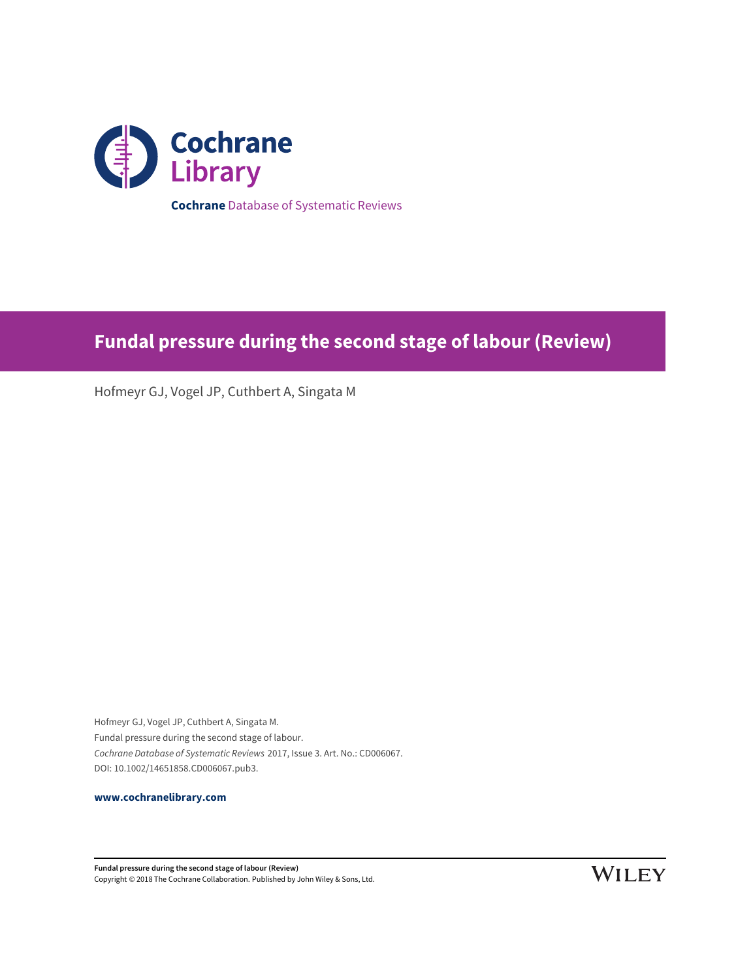

# **Fundal pressure during the second stage of labour (Review)**

Hofmeyr GJ, Vogel JP, Cuthbert A, Singata M

Hofmeyr GJ, Vogel JP, Cuthbert A, Singata M. Fundal pressure during the second stage of labour. Cochrane Database of Systematic Reviews 2017, Issue 3. Art. No.: CD006067. DOI: 10.1002/14651858.CD006067.pub3.

**[www.cochranelibrary.com](http://www.cochranelibrary.com)**

**Fundal pressure during the second stage of labour (Review)** Copyright © 2018 The Cochrane Collaboration. Published by John Wiley & Sons, Ltd.

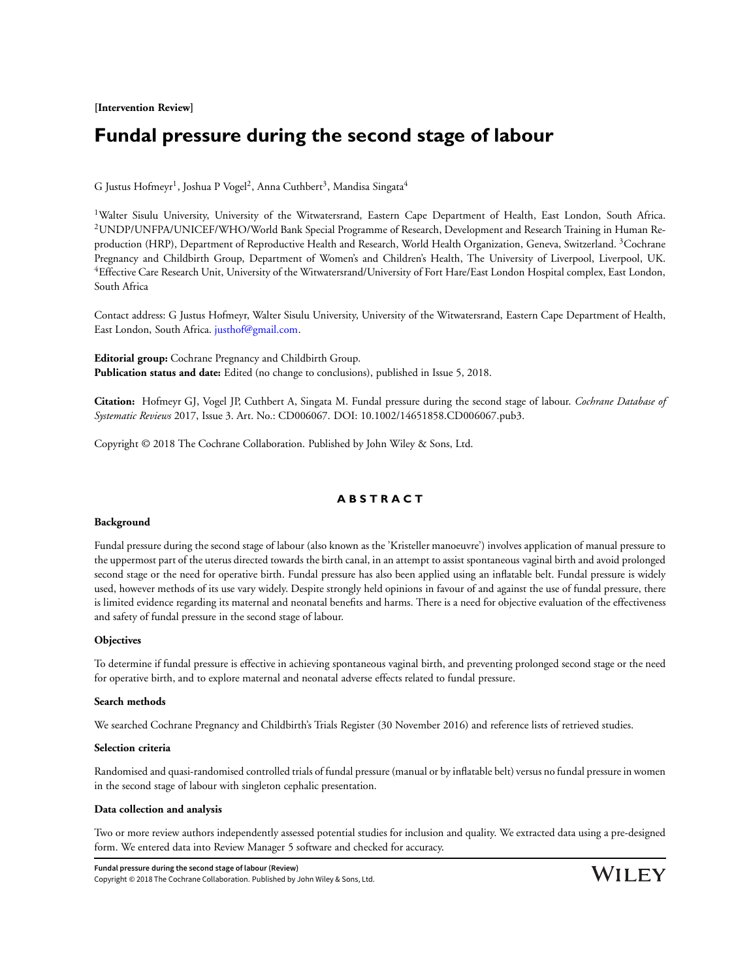**[Intervention Review]**

# **Fundal pressure during the second stage of labour**

G Justus Hofmeyr $^1$ , Joshua P Vogel $^2$ , Anna Cuthbert $^3$ , Mandisa Singata $^4$ 

<sup>1</sup>Walter Sisulu University, University of the Witwatersrand, Eastern Cape Department of Health, East London, South Africa. <sup>2</sup>UNDP/UNFPA/UNICEF/WHO/World Bank Special Programme of Research, Development and Research Training in Human Reproduction (HRP), Department of Reproductive Health and Research, World Health Organization, Geneva, Switzerland. <sup>3</sup>Cochrane Pregnancy and Childbirth Group, Department of Women's and Children's Health, The University of Liverpool, Liverpool, UK. <sup>4</sup>Effective Care Research Unit, University of the Witwatersrand/University of Fort Hare/East London Hospital complex, East London, South Africa

Contact address: G Justus Hofmeyr, Walter Sisulu University, University of the Witwatersrand, Eastern Cape Department of Health, East London, South Africa. [justhof@gmail.com](mailto:justhof@gmail.com).

**Editorial group:** Cochrane Pregnancy and Childbirth Group. **Publication status and date:** Edited (no change to conclusions), published in Issue 5, 2018.

**Citation:** Hofmeyr GJ, Vogel JP, Cuthbert A, Singata M. Fundal pressure during the second stage of labour. *Cochrane Database of Systematic Reviews* 2017, Issue 3. Art. No.: CD006067. DOI: 10.1002/14651858.CD006067.pub3.

Copyright © 2018 The Cochrane Collaboration. Published by John Wiley & Sons, Ltd.

# **A B S T R A C T**

## **Background**

Fundal pressure during the second stage of labour (also known as the 'Kristeller manoeuvre') involves application of manual pressure to the uppermost part of the uterus directed towards the birth canal, in an attempt to assist spontaneous vaginal birth and avoid prolonged second stage or the need for operative birth. Fundal pressure has also been applied using an inflatable belt. Fundal pressure is widely used, however methods of its use vary widely. Despite strongly held opinions in favour of and against the use of fundal pressure, there is limited evidence regarding its maternal and neonatal benefits and harms. There is a need for objective evaluation of the effectiveness and safety of fundal pressure in the second stage of labour.

#### **Objectives**

To determine if fundal pressure is effective in achieving spontaneous vaginal birth, and preventing prolonged second stage or the need for operative birth, and to explore maternal and neonatal adverse effects related to fundal pressure.

#### **Search methods**

We searched Cochrane Pregnancy and Childbirth's Trials Register (30 November 2016) and reference lists of retrieved studies.

#### **Selection criteria**

Randomised and quasi-randomised controlled trials of fundal pressure (manual or by inflatable belt) versus no fundal pressure in women in the second stage of labour with singleton cephalic presentation.

#### **Data collection and analysis**

Two or more review authors independently assessed potential studies for inclusion and quality. We extracted data using a pre-designed form. We entered data into Review Manager 5 software and checked for accuracy.

**Fundal pressure during the second stage of labour (Review)**

Copyright © 2018 The Cochrane Collaboration. Published by John Wiley & Sons, Ltd.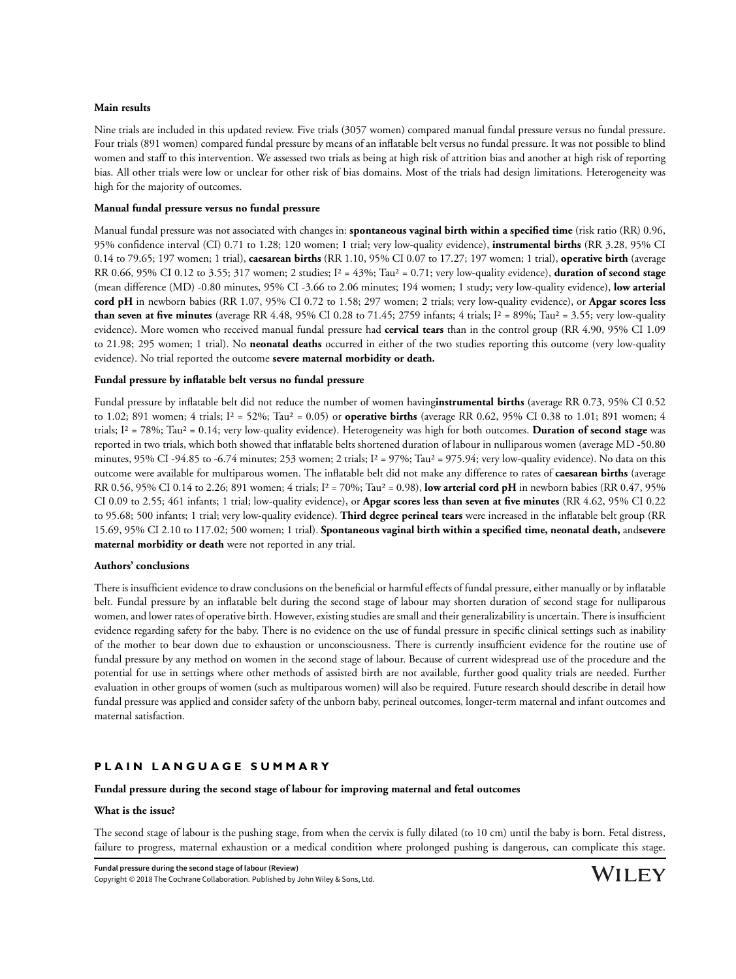## **Main results**

Nine trials are included in this updated review. Five trials (3057 women) compared manual fundal pressure versus no fundal pressure. Four trials (891 women) compared fundal pressure by means of an inflatable belt versus no fundal pressure. It was not possible to blind women and staff to this intervention. We assessed two trials as being at high risk of attrition bias and another at high risk of reporting bias. All other trials were low or unclear for other risk of bias domains. Most of the trials had design limitations. Heterogeneity was high for the majority of outcomes.

#### **Manual fundal pressure versus no fundal pressure**

Manual fundal pressure was not associated with changes in: **spontaneous vaginal birth within a specified time** (risk ratio (RR) 0.96, 95% confidence interval (CI) 0.71 to 1.28; 120 women; 1 trial; very low-quality evidence), **instrumental births** (RR 3.28, 95% CI 0.14 to 79.65; 197 women; 1 trial), **caesarean births** (RR 1.10, 95% CI 0.07 to 17.27; 197 women; 1 trial), **operative birth** (average RR 0.66, 95% CI 0.12 to 3.55; 317 women; 2 studies; I² = 43%; Tau² = 0.71; very low-quality evidence), **duration of second stage** (mean difference (MD) -0.80 minutes, 95% CI -3.66 to 2.06 minutes; 194 women; 1 study; very low-quality evidence), **low arterial cord pH** in newborn babies (RR 1.07, 95% CI 0.72 to 1.58; 297 women; 2 trials; very low-quality evidence), or **Apgar scores less than seven at five minutes** (average RR 4.48, 95% CI 0.28 to 71.45; 2759 infants; 4 trials;  $I^2 = 89\%$ ; Tau<sup>2</sup> = 3.55; very low-quality evidence). More women who received manual fundal pressure had **cervical tears** than in the control group (RR 4.90, 95% CI 1.09 to 21.98; 295 women; 1 trial). No **neonatal deaths** occurred in either of the two studies reporting this outcome (very low-quality evidence). No trial reported the outcome **severe maternal morbidity or death.**

#### **Fundal pressure by inflatable belt versus no fundal pressure**

Fundal pressure by inflatable belt did not reduce the number of women having**instrumental births** (average RR 0.73, 95% CI 0.52 to 1.02; 891 women; 4 trials; I² = 52%; Tau² = 0.05) or **operative births** (average RR 0.62, 95% CI 0.38 to 1.01; 891 women; 4 trials; I² = 78%; Tau² = 0.14; very low-quality evidence). Heterogeneity was high for both outcomes. **Duration of second stage** was reported in two trials, which both showed that inflatable belts shortened duration of labour in nulliparous women (average MD -50.80 minutes, 95% CI -94.85 to -6.74 minutes; 253 women; 2 trials;  $I^2 = 97\%$ ; Tau<sup>2</sup> = 975.94; very low-quality evidence). No data on this outcome were available for multiparous women. The inflatable belt did not make any difference to rates of **caesarean births** (average RR 0.56, 95% CI 0.14 to 2.26; 891 women; 4 trials; I² = 70%; Tau² = 0.98), **low arterial cord pH** in newborn babies (RR 0.47, 95% CI 0.09 to 2.55; 461 infants; 1 trial; low-quality evidence), or **Apgar scores less than seven at five minutes** (RR 4.62, 95% CI 0.22 to 95.68; 500 infants; 1 trial; very low-quality evidence). **Third degree perineal tears** were increased in the inflatable belt group (RR 15.69, 95% CI 2.10 to 117.02; 500 women; 1 trial). **Spontaneous vaginal birth within a specified time, neonatal death,** and**severe maternal morbidity or death** were not reported in any trial.

#### **Authors' conclusions**

There is insufficient evidence to draw conclusions on the beneficial or harmful effects of fundal pressure, either manually or by inflatable belt. Fundal pressure by an inflatable belt during the second stage of labour may shorten duration of second stage for nulliparous women, and lower rates of operative birth. However, existing studies are small and their generalizability is uncertain. There is insufficient evidence regarding safety for the baby. There is no evidence on the use of fundal pressure in specific clinical settings such as inability of the mother to bear down due to exhaustion or unconsciousness. There is currently insufficient evidence for the routine use of fundal pressure by any method on women in the second stage of labour. Because of current widespread use of the procedure and the potential for use in settings where other methods of assisted birth are not available, further good quality trials are needed. Further evaluation in other groups of women (such as multiparous women) will also be required. Future research should describe in detail how fundal pressure was applied and consider safety of the unborn baby, perineal outcomes, longer-term maternal and infant outcomes and maternal satisfaction.

# **P L A I N L A N G U A G E S U M M A R Y**

#### **Fundal pressure during the second stage of labour for improving maternal and fetal outcomes**

#### **What is the issue?**

The second stage of labour is the pushing stage, from when the cervix is fully dilated (to 10 cm) until the baby is born. Fetal distress, failure to progress, maternal exhaustion or a medical condition where prolonged pushing is dangerous, can complicate this stage.